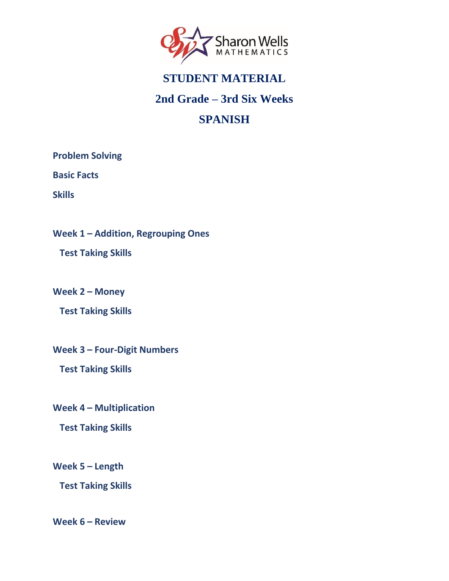<span id="page-0-0"></span>

#### **2nd Grade – 3rd Six Weeks**

### **SPANISH**

**[Problem Solving](#page-1-0)**

**[Basic Facts](#page-2-0)**

**[Skills](#page-3-0)**

**Week 1 – [Addition, Regrouping Ones](#page-4-0)**

 **[Test Taking Skills](#page-4-0)**

**[Week 2](#page-5-0) – Money**

 **[Test Taking Skills](#page-5-0)**

**Week 3 – [Four-Digit Numbers](#page-6-0)**

 **[Test Taking Skills](#page-6-0)**

**Week 4 – [Multiplication](#page-7-0)**

 **[Test Taking Skills](#page-7-0)**

**[Week 5](#page-8-0) – Length**

 **[Test Taking Skills](#page-8-0)**

**[Week 6](#page-9-0) – Review**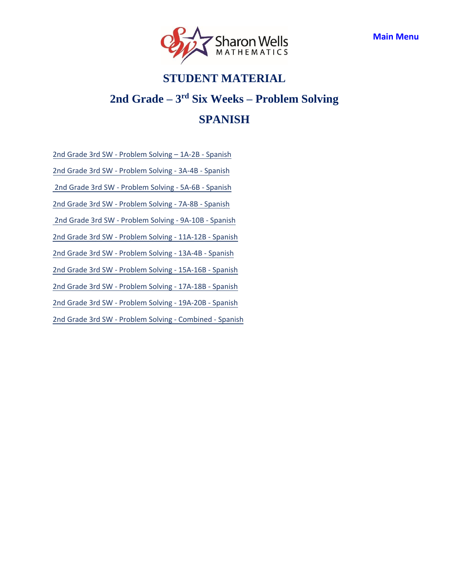

### <span id="page-1-0"></span>**2nd Grade – 3 rd Six Weeks – Problem Solving SPANISH**

[2nd Grade 3rd SW - Problem Solving](https://access.sharonwells.com/fUKETw) – 1A-2B - Spanish

[2nd Grade 3rd SW - Problem Solving - 3A-](https://access.sharonwells.com/EVyxHv)4B - Spanish

[2nd Grade 3rd SW - Problem Solving - 5A-6B - Spanish](https://access.sharonwells.com/pRuFTf)

[2nd Grade 3rd SW - Problem Solving - 7A-8B - Spanish](https://access.sharonwells.com/64RYCY)

 [2nd Grade 3rd SW - Problem Solving - 9A-10B - Spanish](https://access.sharonwells.com/Vxn22g)

[2nd Grade 3rd SW - Problem Solving - 11A-12B - Spanish](https://access.sharonwells.com/QtyDed)

[2nd Grade 3rd SW - Problem Solving - 13A-4B - Spanish](https://access.sharonwells.com/ntP3fH)

[2nd Grade 3rd SW - Problem Solving - 15A-16B - Spanish](https://access.sharonwells.com/QBWAzB)

[2nd Grade 3rd SW - Problem Solving - 17A-18B - Spanish](https://access.sharonwells.com/EhYugF)

[2nd Grade 3rd SW - Problem Solving - 19A-20B - Spanish](https://access.sharonwells.com/7nv4eu)

[2nd Grade 3rd SW - Problem Solving - Combined - Spanish](https://access.sharonwells.com/EwK9nZ)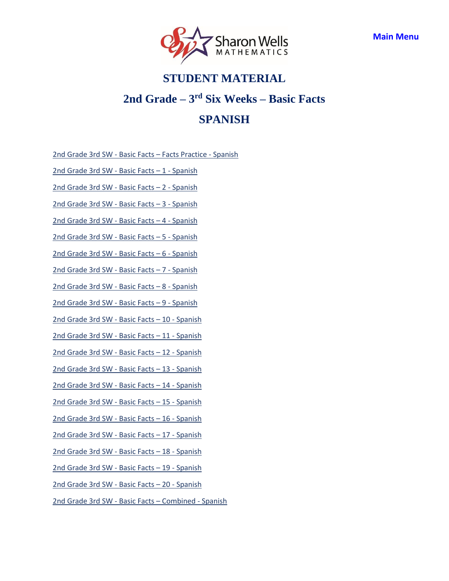

# <span id="page-2-0"></span>**STUDENT MATERIAL 2nd Grade – 3 rd Six Weeks – Basic Facts SPANISH**

- 2nd Grade 3rd SW Basic Facts [Facts Practice](https://access.sharonwells.com/amt3Xd) Spanish
- 2nd Grade 3rd SW [Basic Facts](https://access.sharonwells.com/nEJq8p) 1 Spanish
- 2nd Grade 3rd SW [Basic Facts](https://access.sharonwells.com/yaCqVH) 2 Spanish
- 2nd Grade 3rd SW [Basic Facts](https://access.sharonwells.com/Ar8htm) 3 Spanish
- 2nd Grade 3rd SW [Basic Facts](https://access.sharonwells.com/9KBrTW) 4 Spanish
- 2nd Grade 3rd SW [Basic Facts](https://access.sharonwells.com/Rb4jfq) 5 Spanish
- 2nd Grade 3rd SW [Basic Facts](https://access.sharonwells.com/7FmmqT) 6 Spanish
- 2nd Grade 3rd SW [Basic Facts](https://access.sharonwells.com/NXrHqc) 7 Spanish
- 2nd Grade 3rd SW [Basic Facts](https://access.sharonwells.com/uamKZA) 8 Spanish
- 2nd Grade 3rd SW [Basic Facts](https://access.sharonwells.com/WcTzD7) 9 Spanish
- 2nd Grade 3rd SW [Basic Facts](https://access.sharonwells.com/CA2jCw) 10 Spanish
- 2nd Grade 3rd SW [Basic Facts](https://access.sharonwells.com/JUgcp7) 11 Spanish
- 2nd Grade 3rd SW [Basic Facts](https://access.sharonwells.com/hPFRQj) 12 Spanish
- 2nd Grade 3rd SW [Basic Facts](https://access.sharonwells.com/PvTVt3) 13 Spanish
- 2nd Grade 3rd SW [Basic Facts](https://access.sharonwells.com/JmdQWk) 14 Spanish
- 2nd Grade 3rd SW [Basic Facts](https://access.sharonwells.com/BwDPtC) 15 Spanish
- 2nd Grade 3rd SW [Basic Facts](https://access.sharonwells.com/NWZQhe) 16 Spanish
- 2nd Grade 3rd SW [Basic Facts](https://access.sharonwells.com/zmcnE9) 17 Spanish
- 2nd Grade 3rd SW [Basic Facts](https://access.sharonwells.com/4UgqeP) 18 Spanish
- 2nd Grade 3rd SW [Basic Facts](https://access.sharonwells.com/tMdXqM) 19 Spanish
- 2nd Grade 3rd SW [Basic Facts](https://access.sharonwells.com/7A9KDc) 20 Spanish
- 2nd Grade 3rd SW [Basic Facts](https://access.sharonwells.com/jrQqEQ) Combined Spanish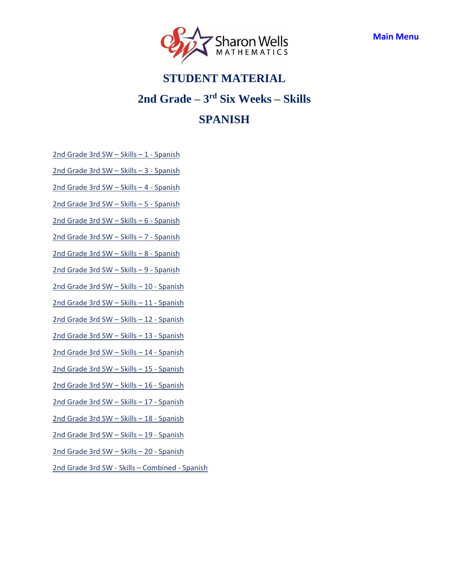

# <span id="page-3-0"></span>**STUDENT MATERIAL 2nd Grade – 3 rd Six Weeks – Skills SPANISH**

- [2nd Grade](https://access.sharonwells.com/tCEVqd) 3rd SW Skills 1 Spanish
- [2nd Grade](https://access.sharonwells.com/Nw2RB6) 3rd SW Skills 3 Spanish
- [2nd Grade](https://access.sharonwells.com/fAXDZt) 3rd SW Skills 4 Spanish
- [2nd Grade](https://access.sharonwells.com/a3YB4f) 3rd SW Skills 5 Spanish
- [2nd Grade](https://access.sharonwells.com/D66qeU) 3rd SW Skills 6 Spanish
- [2nd Grade](https://access.sharonwells.com/FpanKn) 3rd SW Skills 7 Spanish
- [2nd Grade](https://access.sharonwells.com/n6BFVd) 3rd SW Skills 8 Spanish
- [2nd Grade](https://access.sharonwells.com/agMXhv) 3rd SW Skills 9 Spanish
- [2nd Grade](https://access.sharonwells.com/k7RGNN) 3rd SW Skills 10 Spanish
- [2nd Grade](https://access.sharonwells.com/hYAtAM) 3rd SW Skills 11 Spanish
- [2nd Grade](https://access.sharonwells.com/YYuKNP) 3rd SW Skills 12 Spanish
- [2nd Grade](https://access.sharonwells.com/f9gtr8) 3rd SW Skills 13 Spanish
- [2nd Grade](https://access.sharonwells.com/B7mbPv) 3rd SW Skills 14 Spanish
- [2nd Grade](https://access.sharonwells.com/cBWTpm) 3rd SW Skills 15 Spanish
- [2nd Grade](https://access.sharonwells.com/36UPZJ) 3rd SW Skills 16 Spanish
- [2nd Grade](https://access.sharonwells.com/Cd9c7x) 3rd SW Skills 17 Spanish
- [2nd Grade](https://access.sharonwells.com/ehWQdj) 3rd SW Skills 18 Spanish
- [2nd Grade](https://access.sharonwells.com/A72ZdR) 3rd SW Skills 19 Spanish
- [2nd Grade](https://access.sharonwells.com/RKFJwr) 3rd SW Skills 20 Spanish
- [2nd Grade](https://access.sharonwells.com/HGrVbm) 3rd SW Skills Combined Spanish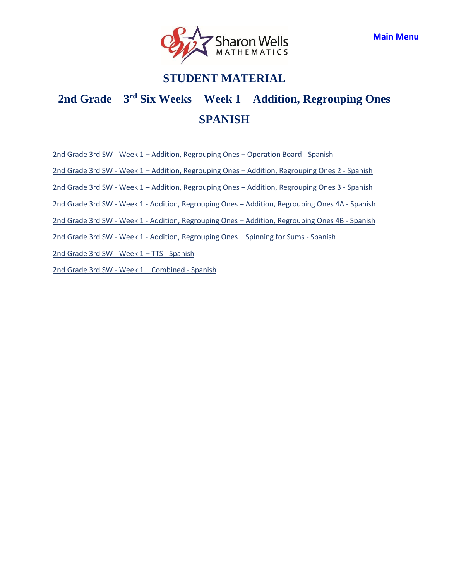

### <span id="page-4-0"></span>**2nd Grade – 3 rd Six Weeks – Week 1 – Addition, Regrouping Ones SPANISH**

2nd Grade 3rd SW - Week 1 – [Addition, Regrouping Ones](https://access.sharonwells.com/Z4q3mx) – Operation Board - Spanish

2nd Grade 3rd SW - Week 1 – Addition, Regrouping Ones – [Addition, Regrouping Ones 2](https://access.sharonwells.com/AtyKD8) - Spanish

2nd Grade 3rd SW - Week 1 – Addition, Regrouping Ones – [Addition, Regrouping Ones 3](https://access.sharonwells.com/8c9yhE) - Spanish

2nd Grade 3rd SW - Week 1 - Addition, Regrouping Ones – [Addition, Regrouping Ones 4A](https://access.sharonwells.com/xDMdgp) - Spanish

2nd Grade 3rd SW - Week 1 - Addition, Regrouping Ones – [Addition, Regrouping Ones 4B](https://access.sharonwells.com/tB7TZN) - Spanish

2nd Grade 3rd SW - Week 1 - [Addition, Regrouping Ones](https://access.sharonwells.com/mvhtNm) – Spinning for Sums - Spanish

[2nd Grade](https://access.sharonwells.com/8ye3gj) 3rd SW - Week 1 – TTS - Spanish

[2nd Grade](https://access.sharonwells.com/FHXwMb) 3rd SW - Week 1 – Combined - Spanish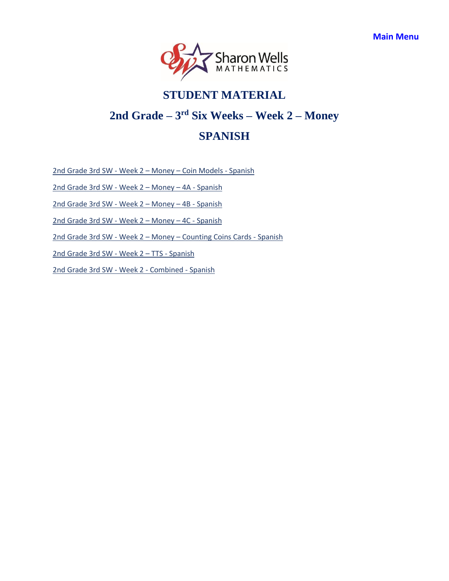

# <span id="page-5-0"></span>**STUDENT MATERIAL 2nd Grade – 3 rd Six Weeks – Week 2 – Money SPANISH**

2nd Grade 3rd SW - Week 2 – Money – [Coin Models](https://access.sharonwells.com/dmpUWm) - Spanish

[2nd Grade](https://access.sharonwells.com/qKtuCQ) 3rd SW - Week 2 – Money – 4A - Spanish

[2nd Grade](https://access.sharonwells.com/DydBWd) 3rd SW - Week 2 – Money – 4B - Spanish

[2nd Grade](https://access.sharonwells.com/hC9Br3) 3rd SW - Week 2 – Money – 4C - Spanish

2nd Grade 3rd SW - Week 2 – Money – [Counting Coins Cards](https://access.sharonwells.com/6K76e4) - Spanish

[2nd Grade](https://access.sharonwells.com/jjvRZ9) 3rd SW - Week 2 – TTS - Spanish

[2nd Grade](https://access.sharonwells.com/8VyrNy) 3rd SW - Week 2 - Combined - Spanish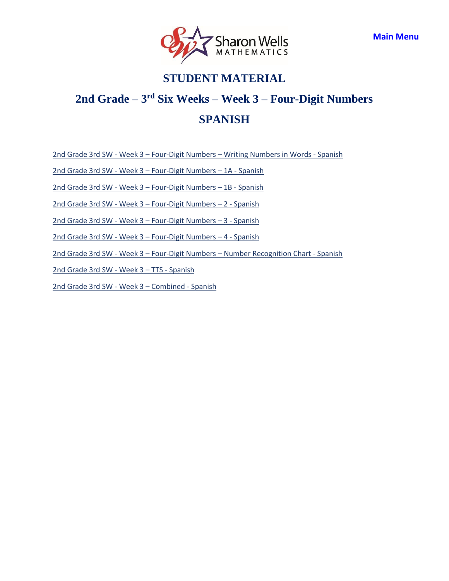

### <span id="page-6-0"></span>**2nd Grade – 3 rd Six Weeks – Week 3 – Four-Digit Numbers SPANISH**

2nd Grade 3rd SW - Week 3 – Four-Digit Numbers – [Writing Numbers in Words](https://access.sharonwells.com/UbBtG4) - Spanish

2nd Grade 3rd SW - Week 3 – [Four-Digit Numbers](https://access.sharonwells.com/4w9Jd6) – 1A - Spanish

2nd Grade 3rd SW - Week 3 – [Four-Digit Numbers](https://access.sharonwells.com/C2EteN) – 1B - Spanish

2nd Grade 3rd SW - Week 3 – [Four-Digit Numbers](https://access.sharonwells.com/KXfVJX) – 2 - Spanish

2nd Grade 3rd SW - Week 3 – [Four-Digit Numbers](https://access.sharonwells.com/qZEDBd) – 3 - Spanish

2nd Grade 3rd SW - Week 3 – [Four-Digit Numbers](https://access.sharonwells.com/uFrCmm) – 4 - Spanish

2nd Grade 3rd SW - Week 3 – Four-Digit Numbers – [Number Recognition Chart](https://access.sharonwells.com/CqBHxB) - Spanish

[2nd Grade](https://access.sharonwells.com/Z7rKyt) 3rd SW - Week 3 – TTS - Spanish

[2nd Grade](https://access.sharonwells.com/G3ZwWc) 3rd SW - Week 3 – Combined - Spanish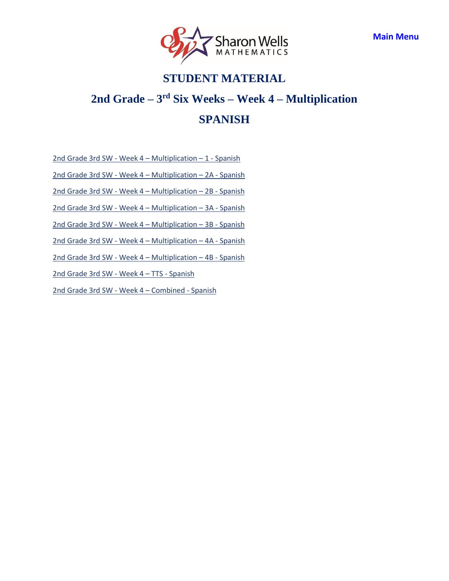

### <span id="page-7-0"></span>**2nd Grade – 3 rd Six Weeks – Week 4 – Multiplication SPANISH**

2nd Grade 3rd SW - Week 4 – [Multiplication](https://access.sharonwells.com/vXMbw7) – 1 - Spanish

2nd Grade 3rd SW - Week 4 – [Multiplication](https://access.sharonwells.com/F32yKt) – 2A - Spanish

2nd Grade 3rd SW - Week 4 – [Multiplication](https://access.sharonwells.com/yra3fp) – 2B - Spanish

2nd Grade 3rd SW - Week 4 – [Multiplication](https://access.sharonwells.com/Qx9NKq) – 3A - Spanish

2nd Grade 3rd SW - Week 4 – [Multiplication](https://access.sharonwells.com/cUCTeX) – 3B - Spanish

2nd Grade 3rd SW - Week 4 – [Multiplication](https://access.sharonwells.com/Hh9e3g) – 4A - Spanish

2nd Grade 3rd SW - Week 4 – [Multiplication](https://access.sharonwells.com/RzFNkE) – 4B - Spanish

[2nd Grade](https://access.sharonwells.com/yCbtrp) 3rd SW - Week 4 – TTS - Spanish

[2nd Grade](https://access.sharonwells.com/AachHr) 3rd SW - Week 4 – Combined - Spanish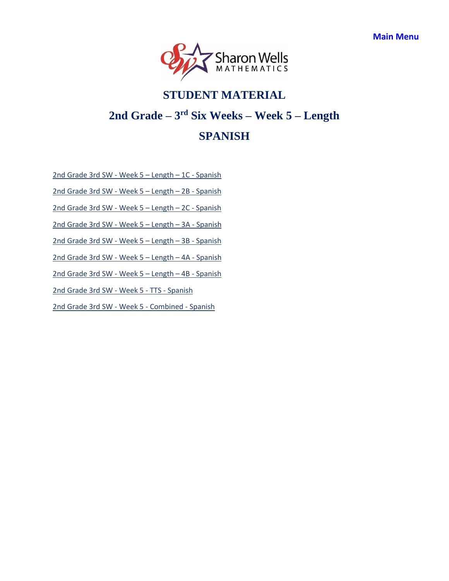

# <span id="page-8-0"></span>**STUDENT MATERIAL 2nd Grade – 3 rd Six Weeks – Week 5 – Length SPANISH**

[2nd Grade](https://access.sharonwells.com/YdXAjN) 3rd SW - Week 5 – Length – 1C - Spanish

[2nd Grade](https://access.sharonwells.com/QrxxCK) 3rd SW - Week 5 – Length – 2B - Spanish

[2nd Grade](https://access.sharonwells.com/ngFaKD) 3rd SW - Week 5 – Length – 2C - Spanish

[2nd Grade](https://access.sharonwells.com/RCbrB3) 3rd SW - Week 5 – Length – 3A - Spanish

[2nd Grade](https://access.sharonwells.com/gAxnbX) 3rd SW - Week 5 – Length – 3B - Spanish

[2nd Grade](https://access.sharonwells.com/HhNZDX) 3rd SW - Week 5 – Length – 4A - Spanish

[2nd Grade](https://access.sharonwells.com/Dw9PHG) 3rd SW - Week 5 – Length – 4B - Spanish

[2nd Grade](https://access.sharonwells.com/6ZJaeF) 3rd SW - Week 5 - TTS - Spanish

[2nd Grade](https://access.sharonwells.com/xJZg3d) 3rd SW - Week 5 - Combined - Spanish